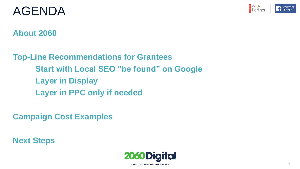

# AGENDA

### **About 2060**

**Top-Line Recommendations for Grantees Start with Local SEO "be found" on Google Layer in Display Layer in PPC only if needed**

**Campaign Cost Examples**

**Next Steps**

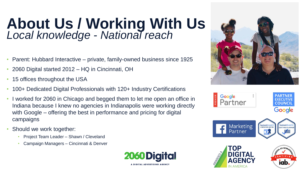# **About Us / Working With Us** *Local knowledge - National reach*

- Parent: Hubbard Interactive private, family-owned business since 1925
- 2060 Digital started 2012 HQ in Cincinnati, OH
- 15 offices throughout the USA
- 100+ Dedicated Digital Professionals with 120+ Industry Certifications
- I worked for 2060 in Chicago and begged them to let me open an office in Indiana because I knew no agencies in Indianapolis were working directly with Google – offering the best in performance and pricing for digital campaigns
- Should we work together:
	- Project Team Leader Shawn / Cleveland
	- Campaign Managers Cincinnati & Denver





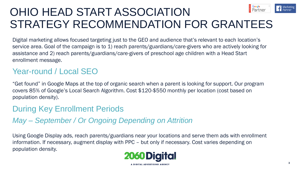#### **E** Google<br>**Partner** OHIO HEAD START ASSOCIATION STRATEGY RECOMMENDATION FOR GRANTEES

Digital marketing allows focused targeting just to the GEO and audience that's relevant to each location's service area. Goal of the campaign is to 1) reach parents/guardians/care-givers who are actively looking for assistance and 2) reach parents/guardians/care-givers of preschool age children with a Head Start enrollment message.

### Year-round / Local SEO

"Get found" in Google Maps at the top of organic search when a parent is looking for support. Our program covers 85% of Google's Local Search Algorithm. Cost \$120-\$550 monthly per location (cost based on population density).

#### During Key Enrollment Periods

*May – September / Or Ongoing Depending on Attrition*

Using Google Display ads, reach parents/guardians near your locations and serve them ads with enrollment information. If necessary, augment display with PPC – but only if necessary. Cost varies depending on population density.

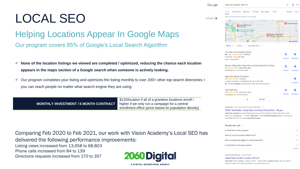# LOCAL SEO

### Helping Locations Appear In Google Maps Our program covers 85% of Google's Local Search Algorithm

- ✓ **None of the location listings we viewed are completed / optimized, reducing the chance each location appears in the maps section of a Google search when someone is actively looking.**
- $\checkmark$  Our program completes your listing and optimizes the listing monthly to over 200+ other top search directories solutionyou can reach people no matter what search engine they are using.

|                                       | \$120/location if all of a grantees locations enroll / |
|---------------------------------------|--------------------------------------------------------|
| MONTHLY INVESTMENT / 6 MONTH CONTRACT | higher if we only run a campaign for a central         |
|                                       | enrollment office (price based on population density)  |

 $\times$   $\bullet$  Q head start program near me Settings Tools About 3,090,000,000 results (1.14 seconds) Cafe Head Start UTHER-TARKINGTON Head Start-Marion & Hamilton The Children's Museum of Indianapolis **Windsor Village** West **IGHTWOOD** Head Start and Early.. FALL CREEK Map data ©202 Hours  $\div$ Your past visits  $\sim$ **Rating** The Little Lamb Christian School  $\bullet$ Ad · 5.0  $\star \star \star \star \star$  (13) · Preschool Carmel, IN · (317) 848-3580 Website Direction Onen · Closes 6PM Windsor Village West Head Start and Early Head Start Centers  $\odot$ ۵ 4.5 ★ ★ ★ ★ ★ (2) · Head start center Indianapolis, IN · (317) 803-4654 Website **Directions Head Start-Marion & Hamilton**  $\bullet$  $5.0 \star \star \star \star \star (4)$  · Preschool 7+ vears in business · Indianapolis, IN · (317) 803-3803 **Direction** C "Excellent program of preschool!!! Good Teachers and Staff.  $\bullet$ Cafe Head Start 4.8 ★ ★ ★ ★ ★ (6) · Head start center Website **Direction** Indianapolis, IN · (317) 803-9607  $\rightarrow$ View all

www.in.gov > fssa > head-start-and-early-head-start |

Google

SEOquake O

#### FSSA: Carefinder: Head Start and Early Head Start - IN.gov

Head Start programs provide a learning environment that supports children's growth in many areas such as language, ... To find a Head Start or Early Head Start program near you, call us tollfree at 866-763-6481 or use the Head Start locator.

| People also ask :                                   |          |
|-----------------------------------------------------|----------|
| Is Head Start a free program?                       |          |
| How do I enroll my child in Head Start?             |          |
| Who is traditionally eligible for Early Head Start? |          |
| Is Head Start an all day program?                   |          |
|                                                     | Feedback |

eclkc.ohs.acf.hhs.gov > center-locator

#### **Head Start Center Locator | ECLKC**

state and select from options provided. You can also search by

Comparing Feb 2020 to Feb 2021, our work with Vision Academy's Local SEO has delivered the following performance improvements:

Listing views increased from 13,658 to 68,803 Phone calls increased from 84 to 139

Directions requests increased from 170 to 357

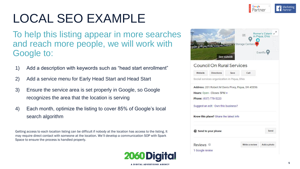

# LOCAL SEO EXAMPLE

To help this listing appear in more searches and reach more people, we will work with Google to:

- 1) Add a description with keywords such as "head start enrollment"
- 2) Add a service menu for Early Head Start and Head Start
- 3) Ensure the service area is set properly in Google, so Google recognizes the area that the location is serving
- 4) Each month, optimize the listing to cover 85% of Google's local search algorithm

Getting access to each location listing can be difficult if nobody at the location has access to the listing. It may require direct contact with someone at the location. We'll develop a communication SOP with Spark Space to ensure the process is handled properly.



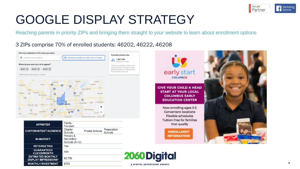

# GOOGLE DISPLAY STRATEGY

Reaching parents in priority ZIPs and bringing them straight to your website to learn about enrollment options

#### 3 ZIPs comprise 70% of enrolled students: 46202, 46222, 46208

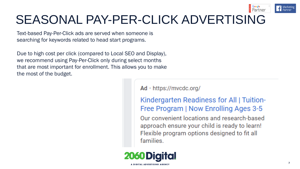

# SEASONAL PAY-PER-CLICK ADVERTISING

Text-based Pay-Per-Click ads are served when someone is searching for keywords related to head start programs.

Due to high cost per click (compared to Local SEO and Display), we recommend using Pay-Per-Click only during select months that are most important for enrollment. This allows you to make the most of the budget.

Ad · https://mvcdc.org/

Kindergarten Readiness for All | Tuition-Free Program | Now Enrolling Ages 3-5 Our convenient locations and research-based approach ensure your child is ready to learn! Flexible program options designed to fit all families.

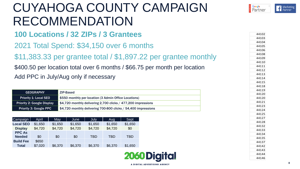# CUYAHOGA COUNTY CAMPAIGN RECOMMENDATION

| 100 Locations / 32 ZIPs / 3 Grantees                                                                                                                                                  |                                   |         |  |                                                                 |            |                | 44102      |       |                |
|---------------------------------------------------------------------------------------------------------------------------------------------------------------------------------------|-----------------------------------|---------|--|-----------------------------------------------------------------|------------|----------------|------------|-------|----------------|
|                                                                                                                                                                                       |                                   |         |  |                                                                 |            |                |            |       | 44103          |
|                                                                                                                                                                                       |                                   |         |  |                                                                 |            |                |            |       | 44104          |
|                                                                                                                                                                                       |                                   |         |  | 2021 Total Spend: \$34,150 over 6 months                        |            |                |            |       | 44105          |
|                                                                                                                                                                                       |                                   |         |  |                                                                 |            |                |            |       | 44106          |
| \$11,383.33 per grantee total / \$1,897.22 per grantee monthly<br>\$400.50 per location total over 6 months / \$66.75 per month per location<br>Add PPC in July/Aug only if necessary |                                   |         |  |                                                                 |            | 44108<br>44109 |            |       |                |
|                                                                                                                                                                                       |                                   |         |  |                                                                 |            |                |            |       | 44110          |
|                                                                                                                                                                                       |                                   |         |  |                                                                 |            |                |            | 44111 |                |
|                                                                                                                                                                                       |                                   |         |  |                                                                 |            |                |            |       | 44112          |
|                                                                                                                                                                                       |                                   |         |  |                                                                 |            |                |            |       | 44113          |
|                                                                                                                                                                                       |                                   |         |  |                                                                 |            |                |            |       | 44114          |
|                                                                                                                                                                                       |                                   |         |  |                                                                 |            | 44115          |            |       |                |
|                                                                                                                                                                                       |                                   |         |  |                                                                 |            |                |            |       | 44118          |
|                                                                                                                                                                                       |                                   |         |  |                                                                 |            |                |            |       | 44119          |
|                                                                                                                                                                                       | <b>GEOGRAPHY</b>                  |         |  | ZIP-Based                                                       |            |                |            |       | 44120          |
|                                                                                                                                                                                       | <b>Priority 1: Local SEO</b>      |         |  | \$550 monthly per location (3 Admin Office Locations)           |            |                |            |       | 44120          |
|                                                                                                                                                                                       | <b>Priority 2: Google Display</b> |         |  | \$4,720 monthly delivering 2,700 clicks $/$ 477,200 impressions |            |                |            |       | 44121          |
|                                                                                                                                                                                       | <b>Priority 3: Google PPC</b>     |         |  | \$4,720 monthly delivering 700-800 clicks / 54,400 impressions  |            |                |            |       | 44123          |
|                                                                                                                                                                                       |                                   |         |  |                                                                 |            |                |            |       | 44124          |
|                                                                                                                                                                                       |                                   |         |  |                                                                 |            |                |            |       | 44125          |
| Campaign                                                                                                                                                                              | April                             | May     |  | June                                                            | July       | Aug            | Sept       |       | 44127          |
| <b>Local SEO</b>                                                                                                                                                                      | \$1,650                           | \$1,650 |  | \$1,650                                                         | \$1,650    | \$1,650        | \$1,650    |       | 44128<br>44132 |
| <b>Display</b>                                                                                                                                                                        | \$4,720                           | \$4,720 |  | \$4,720                                                         | \$4,720    | \$4,720        | \$0        |       | 44133          |
| <b>PPC As</b>                                                                                                                                                                         |                                   |         |  |                                                                 |            |                |            |       | 44134          |
| <b>Needed</b>                                                                                                                                                                         | \$0                               | \$0     |  | \$0                                                             | <b>TBD</b> | <b>TBD</b>     | <b>TBD</b> |       | 44135          |
| <b>Build Fee</b>                                                                                                                                                                      | \$650                             |         |  |                                                                 |            |                |            |       | 44137          |
| <b>Total</b>                                                                                                                                                                          | \$7,020                           | \$6,370 |  | \$6,370                                                         | \$6,370    | \$6,370        | \$1,650    |       | 44142          |
|                                                                                                                                                                                       |                                   |         |  |                                                                 |            |                |            |       |                |

| -ocal <b>p</b> EO | <b>JUCO.</b> LC | <b>JUCO.IG</b> | <b>JUCO.IG</b> | <b>JUCO.IG</b> | ა I .ხ5∪ | J.00U   |
|-------------------|-----------------|----------------|----------------|----------------|----------|---------|
| <b>Display</b>    | \$4,720         | \$4,720        | \$4,720        | \$4,720        | \$4,720  | \$0     |
| <b>PPC As</b>     |                 |                |                |                |          |         |
| <b>Needed</b>     | \$0             | \$0            | \$0            | TBD            | TBD      | TBD     |
| <b>Build Fee</b>  | \$650           |                |                |                |          |         |
| <b>Total</b>      | \$7,020         | \$6,370        | \$6,370        | \$6,370        | \$6,370  | \$1,650 |

A DIGITAL ADVERTISING AGENCY

**E** Google<br> **R** Partner

**A** Marketin **Marketing**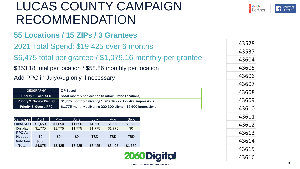# LUCAS COUNTY CAMPAIGN RECOMMENDATION

### **55 Locations / 15 ZIPs / 3 Grantees**

#### \$6,475 total per grantee / \$1,079.16 monthly per grantee

## \$353.18 total per location / \$58.86 monthly per location

#### Add PPC in July/Aug only if necessary

| 2021 Total Spend: \$19,425 over 6 months                   |                                                                   |         |                                                                                                                        |            |            | 43528      |  |       |
|------------------------------------------------------------|-------------------------------------------------------------------|---------|------------------------------------------------------------------------------------------------------------------------|------------|------------|------------|--|-------|
|                                                            |                                                                   |         |                                                                                                                        |            |            |            |  | 43537 |
| \$6,475 total per grantee / \$1,079.16 monthly per grantee |                                                                   |         |                                                                                                                        |            |            |            |  | 43604 |
| \$353.18 total per location / \$58.86 monthly per location |                                                                   |         |                                                                                                                        |            |            |            |  | 43605 |
|                                                            |                                                                   |         | Add PPC in July/Aug only if necessary                                                                                  |            |            |            |  | 43606 |
|                                                            |                                                                   |         |                                                                                                                        |            |            |            |  | 43607 |
| <b>ZIP-Based</b><br><b>GEOGRAPHY</b>                       |                                                                   |         |                                                                                                                        |            |            |            |  | 43608 |
|                                                            | <b>Priority 1: Local SEO</b><br><b>Priority 2: Google Display</b> |         | \$550 monthly per location (3 Admin Office Locations)<br>\$1,775 monthly delivering 1,020 clicks / 179,400 impressions |            |            |            |  | 43609 |
|                                                            | <b>Priority 3: Google PPC</b>                                     |         | \$1,775 monthly delivering 220-300 clicks / 19,500 impressions                                                         |            |            |            |  | 43610 |
| Campaign                                                   | April                                                             | May     | June                                                                                                                   | July       | Aug        | Sept       |  | 43611 |
| <b>Local SEO</b>                                           | \$1,650                                                           | \$1,650 | \$1,650                                                                                                                | \$1,650    | \$1,650    | \$1,650    |  | 43612 |
| <b>Display</b>                                             | \$1,775                                                           | \$1,775 | \$1,775                                                                                                                | \$1,775    | \$1,775    | \$0        |  |       |
| <b>PPC As</b>                                              |                                                                   |         |                                                                                                                        |            |            |            |  | 43613 |
| <b>Needed</b><br><b>Build Fee</b>                          | \$0<br>\$650                                                      | \$0     | \$0                                                                                                                    | <b>TBD</b> | <b>TBD</b> | <b>TBD</b> |  | 43614 |
| <b>Total</b>                                               | \$4,075                                                           | \$3,425 | \$3,425                                                                                                                | \$3,425    | \$3,425    | \$1,650    |  |       |

| Campaign         | April   | May     | June    | July    | Aug        | Sept    |
|------------------|---------|---------|---------|---------|------------|---------|
| <b>Local SEO</b> | \$1,650 | \$1,650 | \$1,650 | \$1,650 | \$1,650    | \$1,650 |
| <b>Display</b>   | \$1,775 | \$1,775 | \$1,775 | \$1,775 | \$1,775    | \$0     |
| <b>PPC As</b>    |         |         |         |         |            |         |
| <b>Needed</b>    | \$0     | \$0     | \$0     | TBD     | <b>TBD</b> | TBD     |
| <b>Build Fee</b> | \$650   |         |         |         |            |         |
| <b>Total</b>     | \$4,075 | \$3,425 | \$3,425 | \$3,425 | \$3,425    | \$1,650 |

| <b>ODigital</b> |  |
|-----------------|--|

| 43528 |
|-------|
| 43537 |
| 43604 |
| 43605 |
| 43606 |
| 43607 |
| 43608 |
| 43609 |
| 43610 |
| 43611 |
| 43612 |
| 43613 |
| 43614 |
| 43615 |
| 43616 |



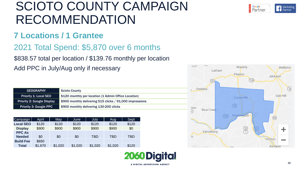# SCIOTO COUNTY CAMPAIGN RECOMMENDATION

#### **7 Locations / 1 Grantee**

### 2021 Total Spend: \$5,870 over 6 months

#### \$838.57 total per location / \$139.76 monthly per location

Add PPC in July/Aug only if necessary

| <b>GEOGRAPHY</b>                  | <b>Scioto County</b>                                     |
|-----------------------------------|----------------------------------------------------------|
| <b>Priority 1: Local SEO</b>      | \$120 monthly per location (1 Admin Office Location)     |
| <b>Priority 2: Google Display</b> | \$900 monthly delivering 515 clicks / 91,000 impressions |
| <b>Priority 3: Google PPC</b>     | \$900 monthly delivering 130-200 clicks                  |

| Campaign         | April   | May     | June    | July    | Aug        | Sept       |
|------------------|---------|---------|---------|---------|------------|------------|
| <b>Local SEO</b> | \$120   | \$120   | \$120   | \$120   | \$120      | \$120      |
| <b>Display</b>   | \$900   | \$900   | \$900   | \$900   | \$900      | \$0        |
| <b>PPC As</b>    |         |         |         |         |            |            |
| <b>Needed</b>    | \$0     | \$0     | \$0     | TBD     | <b>TBD</b> | <b>TBD</b> |
| <b>Build Fee</b> | \$650   |         |         |         |            |            |
| <b>Total</b>     | \$1,670 | \$1,020 | \$1,020 | \$1,020 | \$1,020    | \$120      |





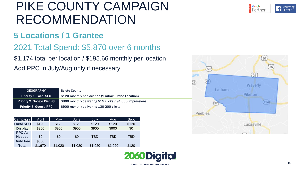# PIKE COUNTY CAMPAIGN RECOMMENDATION

#### **5 Locations / 1 Grantee**

## 2021 Total Spend: \$5,870 over 6 months

\$1,174 total per location / \$195.66 monthly per location Add PPC in July/Aug only if necessary

| <b>GEOGRAPHY</b>                  | <b>Scioto County</b>                                     |
|-----------------------------------|----------------------------------------------------------|
| <b>Priority 1: Local SEO</b>      | \$120 monthly per location (1 Admin Office Location)     |
| <b>Priority 2: Google Display</b> | \$900 monthly delivering 515 clicks / 91,000 impressions |
| Priority 3: Google PPC            | \$900 monthly delivering 130-200 clicks                  |

| Campaign         | April   | May     | June    | July    | Aug     | Sept  |
|------------------|---------|---------|---------|---------|---------|-------|
| <b>Local SEO</b> | \$120   | \$120   | \$120   | \$120   | \$120   | \$120 |
| <b>Display</b>   | \$900   | \$900   | \$900   | \$900   | \$900   | \$0   |
| <b>PPC As</b>    |         |         |         |         |         |       |
| <b>Needed</b>    | \$0     | \$0     | \$0     | TBD     | TBD     | TBD   |
| <b>Build Fee</b> | \$650   |         |         |         |         |       |
| <b>Total</b>     | \$1,670 | \$1,020 | \$1,020 | \$1,020 | \$1,020 | \$120 |